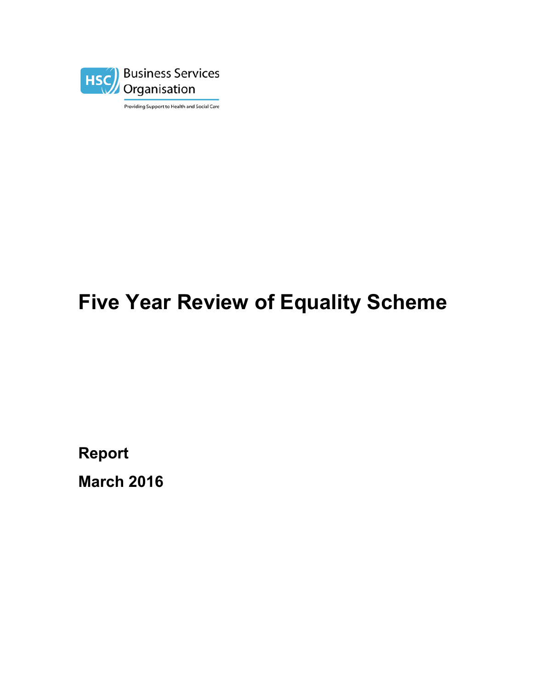

Providing Support to Health and Social Care

# **Five Year Review of Equality Scheme**

**Report**

**March 2016**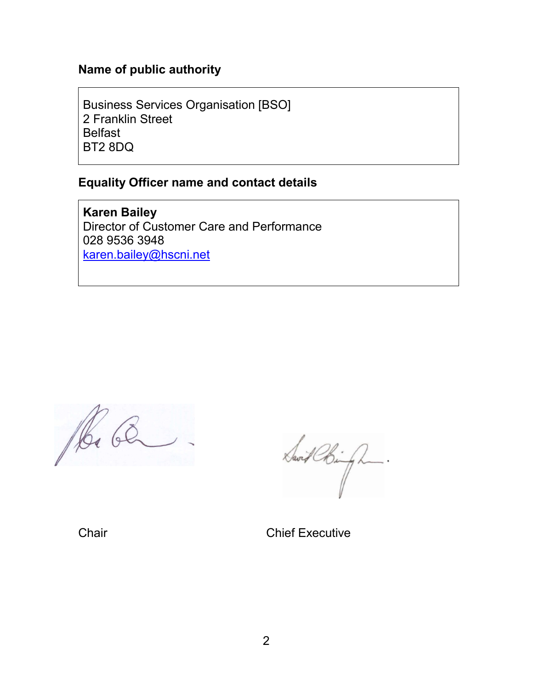### **Name of public authority**

Business Services Organisation [BSO] 2 Franklin Street **Belfast** BT2 8DQ

#### **Equality Officer name and contact details**

**Karen Bailey** Director of Customer Care and Performance 028 9536 3948 [karen.bailey@hscni.net](mailto:karen.bailey@hscni.net)

Ra Ca

Savit Chingh.

Chair Chair Chief Executive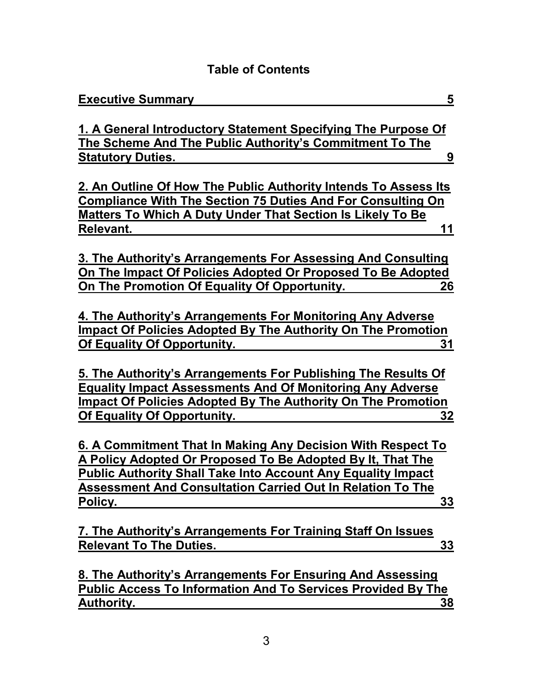# **Table of Contents**

| <b>Executive Summary</b>                                                                                                          | 5         |
|-----------------------------------------------------------------------------------------------------------------------------------|-----------|
|                                                                                                                                   |           |
| 1. A General Introductory Statement Specifying The Purpose Of                                                                     |           |
| The Scheme And The Public Authority's Commitment To The                                                                           |           |
| <b>Statutory Duties.</b>                                                                                                          | 9         |
|                                                                                                                                   |           |
| 2. An Outline Of How The Public Authority Intends To Assess Its                                                                   |           |
| <b>Compliance With The Section 75 Duties And For Consulting On</b>                                                                |           |
| <b>Matters To Which A Duty Under That Section Is Likely To Be</b>                                                                 |           |
| Relevant.                                                                                                                         | 11        |
|                                                                                                                                   |           |
| 3. The Authority's Arrangements For Assessing And Consulting                                                                      |           |
| On The Impact Of Policies Adopted Or Proposed To Be Adopted                                                                       |           |
| On The Promotion Of Equality Of Opportunity.                                                                                      | 26        |
|                                                                                                                                   |           |
| 4. The Authority's Arrangements For Monitoring Any Adverse                                                                        |           |
| Impact Of Policies Adopted By The Authority On The Promotion                                                                      |           |
| <b>Of Equality Of Opportunity.</b>                                                                                                | 31        |
|                                                                                                                                   |           |
| 5. The Authority's Arrangements For Publishing The Results Of                                                                     |           |
| <b>Equality Impact Assessments And Of Monitoring Any Adverse</b>                                                                  |           |
| <b>Impact Of Policies Adopted By The Authority On The Promotion</b>                                                               |           |
| <b>Of Equality Of Opportunity.</b>                                                                                                | 32        |
| 6. A Commitment That In Making Any Decision With Respect To                                                                       |           |
| A Policy Adopted Or Proposed To Be Adopted By It, That The                                                                        |           |
|                                                                                                                                   |           |
| <b>Public Authority Shall Take Into Account Any Equality Impact</b>                                                               |           |
| <b>Assessment And Consultation Carried Out In Relation To The</b>                                                                 |           |
| Policy.                                                                                                                           | 33        |
|                                                                                                                                   |           |
| 7. The Authority's Arrangements For Training Staff On Issues                                                                      |           |
| <b>Relevant To The Duties.</b>                                                                                                    | 33        |
|                                                                                                                                   |           |
| 8. The Authority's Arrangements For Ensuring And Assessing<br><b>Public Access To Information And To Services Provided By The</b> |           |
|                                                                                                                                   |           |
| <b>Authority.</b>                                                                                                                 | <u>38</u> |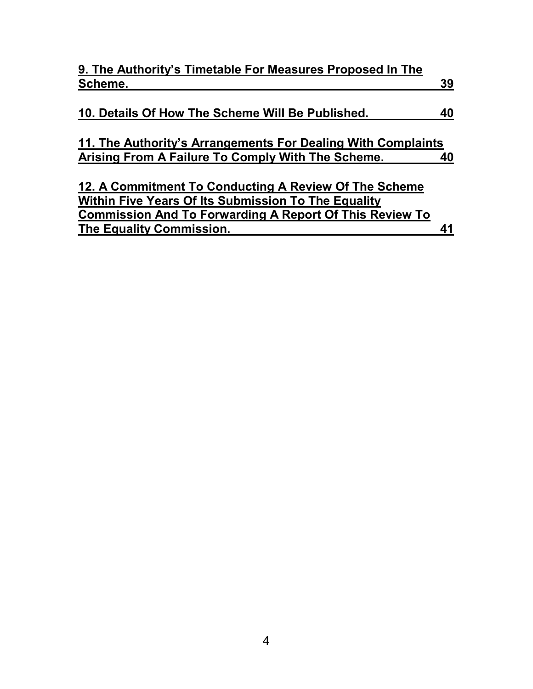| 9. The Authority's Timetable For Measures Proposed In The      |    |
|----------------------------------------------------------------|----|
| Scheme.                                                        | 39 |
|                                                                |    |
| 10. Details Of How The Scheme Will Be Published.               | 40 |
|                                                                |    |
| 11. The Authority's Arrangements For Dealing With Complaints   |    |
| Arising From A Failure To Comply With The Scheme.              | 40 |
|                                                                |    |
| 12. A Commitment To Conducting A Review Of The Scheme          |    |
| Within Five Years Of Its Submission To The Equality            |    |
| <b>Commission And To Forwarding A Report Of This Review To</b> |    |
| The Equality Commission.                                       |    |
|                                                                |    |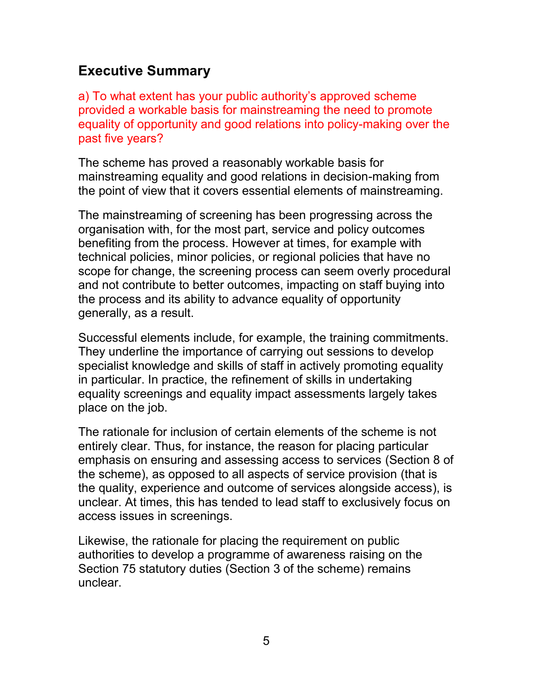# <span id="page-4-0"></span>**Executive Summary**

a) To what extent has your public authority's approved scheme provided a workable basis for mainstreaming the need to promote equality of opportunity and good relations into policy-making over the past five years?

The scheme has proved a reasonably workable basis for mainstreaming equality and good relations in decision-making from the point of view that it covers essential elements of mainstreaming.

The mainstreaming of screening has been progressing across the organisation with, for the most part, service and policy outcomes benefiting from the process. However at times, for example with technical policies, minor policies, or regional policies that have no scope for change, the screening process can seem overly procedural and not contribute to better outcomes, impacting on staff buying into the process and its ability to advance equality of opportunity generally, as a result.

Successful elements include, for example, the training commitments. They underline the importance of carrying out sessions to develop specialist knowledge and skills of staff in actively promoting equality in particular. In practice, the refinement of skills in undertaking equality screenings and equality impact assessments largely takes place on the job.

The rationale for inclusion of certain elements of the scheme is not entirely clear. Thus, for instance, the reason for placing particular emphasis on ensuring and assessing access to services (Section 8 of the scheme), as opposed to all aspects of service provision (that is the quality, experience and outcome of services alongside access), is unclear. At times, this has tended to lead staff to exclusively focus on access issues in screenings.

Likewise, the rationale for placing the requirement on public authorities to develop a programme of awareness raising on the Section 75 statutory duties (Section 3 of the scheme) remains unclear.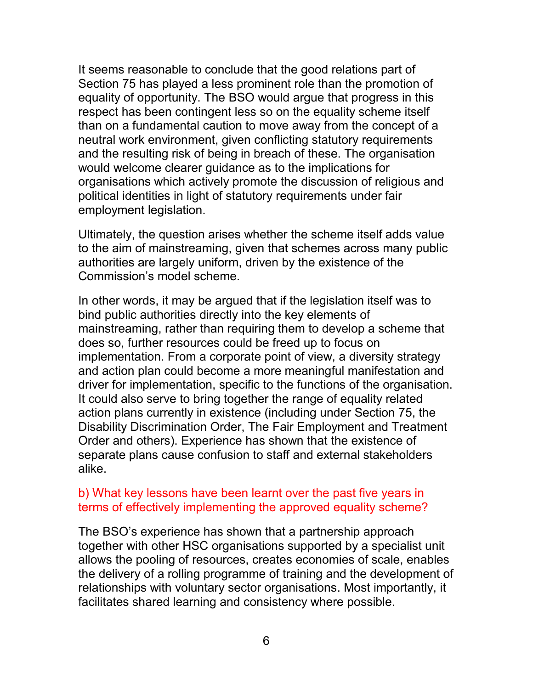It seems reasonable to conclude that the good relations part of Section 75 has played a less prominent role than the promotion of equality of opportunity. The BSO would argue that progress in this respect has been contingent less so on the equality scheme itself than on a fundamental caution to move away from the concept of a neutral work environment, given conflicting statutory requirements and the resulting risk of being in breach of these. The organisation would welcome clearer guidance as to the implications for organisations which actively promote the discussion of religious and political identities in light of statutory requirements under fair employment legislation.

Ultimately, the question arises whether the scheme itself adds value to the aim of mainstreaming, given that schemes across many public authorities are largely uniform, driven by the existence of the Commission's model scheme.

In other words, it may be argued that if the legislation itself was to bind public authorities directly into the key elements of mainstreaming, rather than requiring them to develop a scheme that does so, further resources could be freed up to focus on implementation. From a corporate point of view, a diversity strategy and action plan could become a more meaningful manifestation and driver for implementation, specific to the functions of the organisation. It could also serve to bring together the range of equality related action plans currently in existence (including under Section 75, the Disability Discrimination Order, The Fair Employment and Treatment Order and others). Experience has shown that the existence of separate plans cause confusion to staff and external stakeholders alike.

#### b) What key lessons have been learnt over the past five years in terms of effectively implementing the approved equality scheme?

The BSO's experience has shown that a partnership approach together with other HSC organisations supported by a specialist unit allows the pooling of resources, creates economies of scale, enables the delivery of a rolling programme of training and the development of relationships with voluntary sector organisations. Most importantly, it facilitates shared learning and consistency where possible.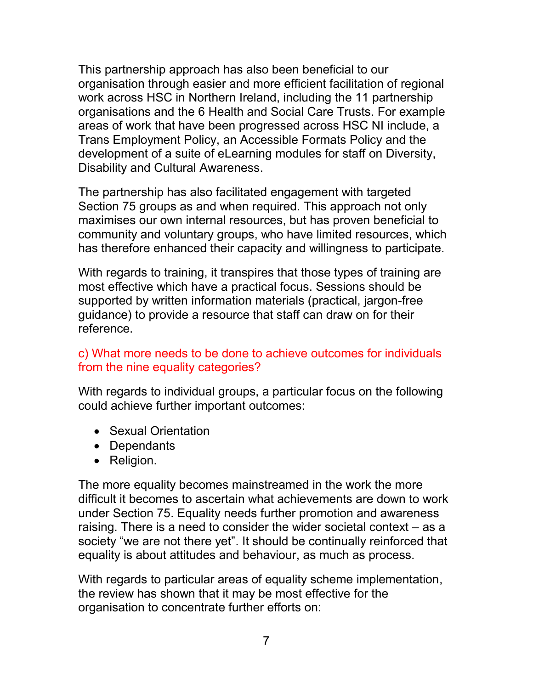This partnership approach has also been beneficial to our organisation through easier and more efficient facilitation of regional work across HSC in Northern Ireland, including the 11 partnership organisations and the 6 Health and Social Care Trusts. For example areas of work that have been progressed across HSC NI include, a Trans Employment Policy, an Accessible Formats Policy and the development of a suite of eLearning modules for staff on Diversity, Disability and Cultural Awareness.

The partnership has also facilitated engagement with targeted Section 75 groups as and when required. This approach not only maximises our own internal resources, but has proven beneficial to community and voluntary groups, who have limited resources, which has therefore enhanced their capacity and willingness to participate.

With regards to training, it transpires that those types of training are most effective which have a practical focus. Sessions should be supported by written information materials (practical, jargon-free guidance) to provide a resource that staff can draw on for their reference.

### c) What more needs to be done to achieve outcomes for individuals from the nine equality categories?

With regards to individual groups, a particular focus on the following could achieve further important outcomes:

- Sexual Orientation
- Dependants
- Religion.

The more equality becomes mainstreamed in the work the more difficult it becomes to ascertain what achievements are down to work under Section 75. Equality needs further promotion and awareness raising. There is a need to consider the wider societal context – as a society "we are not there yet". It should be continually reinforced that equality is about attitudes and behaviour, as much as process.

With regards to particular areas of equality scheme implementation, the review has shown that it may be most effective for the organisation to concentrate further efforts on: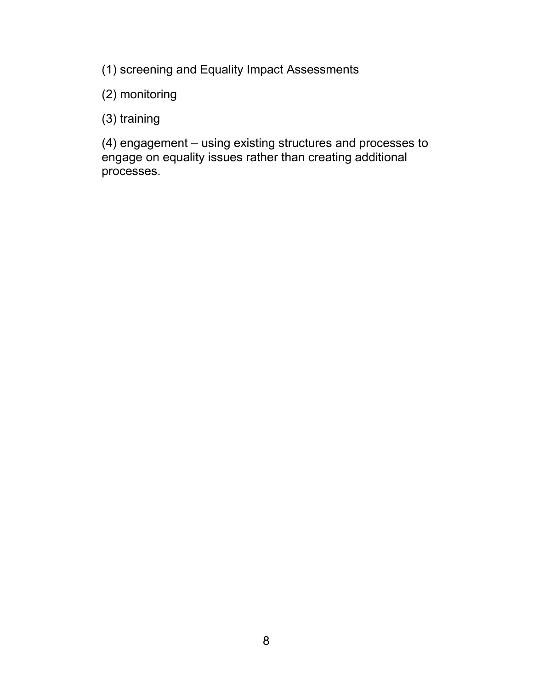(1) screening and Equality Impact Assessments

(2) monitoring

(3) training

(4) engagement – using existing structures and processes to engage on equality issues rather than creating additional processes.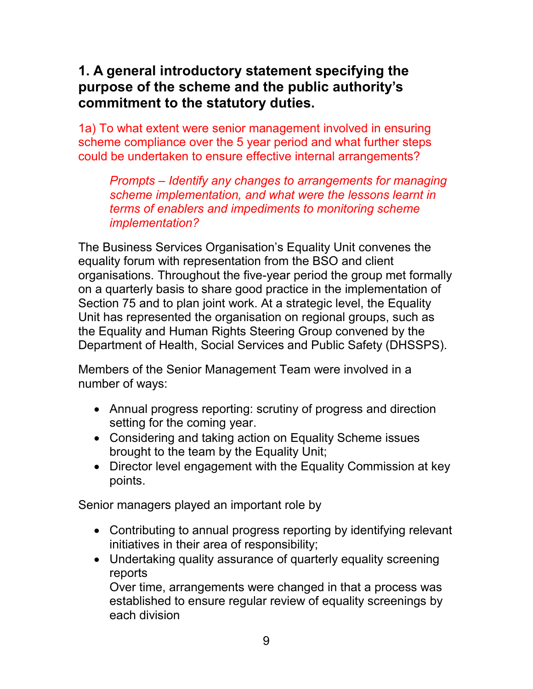# <span id="page-8-0"></span>**1. A general introductory statement specifying the purpose of the scheme and the public authority's commitment to the statutory duties.**

1a) To what extent were senior management involved in ensuring scheme compliance over the 5 year period and what further steps could be undertaken to ensure effective internal arrangements?

*Prompts – Identify any changes to arrangements for managing scheme implementation, and what were the lessons learnt in terms of enablers and impediments to monitoring scheme implementation?*

The Business Services Organisation's Equality Unit convenes the equality forum with representation from the BSO and client organisations. Throughout the five-year period the group met formally on a quarterly basis to share good practice in the implementation of Section 75 and to plan joint work. At a strategic level, the Equality Unit has represented the organisation on regional groups, such as the Equality and Human Rights Steering Group convened by the Department of Health, Social Services and Public Safety (DHSSPS).

Members of the Senior Management Team were involved in a number of ways:

- Annual progress reporting: scrutiny of progress and direction setting for the coming year.
- Considering and taking action on Equality Scheme issues brought to the team by the Equality Unit;
- Director level engagement with the Equality Commission at key points.

Senior managers played an important role by

- Contributing to annual progress reporting by identifying relevant initiatives in their area of responsibility;
- Undertaking quality assurance of quarterly equality screening reports

Over time, arrangements were changed in that a process was established to ensure regular review of equality screenings by each division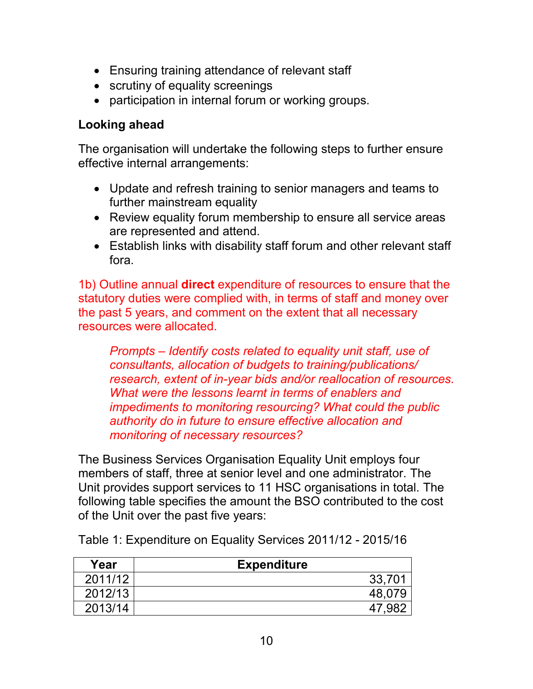- Ensuring training attendance of relevant staff
- scrutiny of equality screenings
- participation in internal forum or working groups.

## **Looking ahead**

The organisation will undertake the following steps to further ensure effective internal arrangements:

- Update and refresh training to senior managers and teams to further mainstream equality
- Review equality forum membership to ensure all service areas are represented and attend.
- Establish links with disability staff forum and other relevant staff fora.

1b) Outline annual **direct** expenditure of resources to ensure that the statutory duties were complied with, in terms of staff and money over the past 5 years, and comment on the extent that all necessary resources were allocated.

*Prompts – Identify costs related to equality unit staff, use of consultants, allocation of budgets to training/publications/ research, extent of in-year bids and/or reallocation of resources. What were the lessons learnt in terms of enablers and impediments to monitoring resourcing? What could the public authority do in future to ensure effective allocation and monitoring of necessary resources?*

The Business Services Organisation Equality Unit employs four members of staff, three at senior level and one administrator. The Unit provides support services to 11 HSC organisations in total. The following table specifies the amount the BSO contributed to the cost of the Unit over the past five years:

| Year    | <b>Expenditure</b> |
|---------|--------------------|
| 2011/12 | 33,701             |
| 2012/13 | 48.079             |
| 2013/14 | 47,982             |

Table 1: Expenditure on Equality Services 2011/12 - 2015/16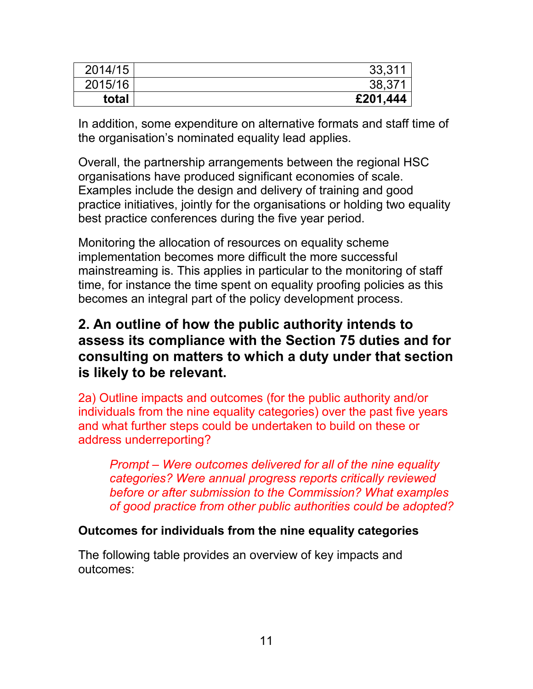| 2014/15 | 33,311   |
|---------|----------|
| 2015/16 | 38,371   |
| total   | £201,444 |

In addition, some expenditure on alternative formats and staff time of the organisation's nominated equality lead applies.

Overall, the partnership arrangements between the regional HSC organisations have produced significant economies of scale. Examples include the design and delivery of training and good practice initiatives, jointly for the organisations or holding two equality best practice conferences during the five year period.

Monitoring the allocation of resources on equality scheme implementation becomes more difficult the more successful mainstreaming is. This applies in particular to the monitoring of staff time, for instance the time spent on equality proofing policies as this becomes an integral part of the policy development process.

## <span id="page-10-0"></span>**2. An outline of how the public authority intends to assess its compliance with the Section 75 duties and for consulting on matters to which a duty under that section is likely to be relevant.**

2a) Outline impacts and outcomes (for the public authority and/or individuals from the nine equality categories) over the past five years and what further steps could be undertaken to build on these or address underreporting?

*Prompt – Were outcomes delivered for all of the nine equality categories? Were annual progress reports critically reviewed before or after submission to the Commission? What examples of good practice from other public authorities could be adopted?*

#### **Outcomes for individuals from the nine equality categories**

The following table provides an overview of key impacts and outcomes: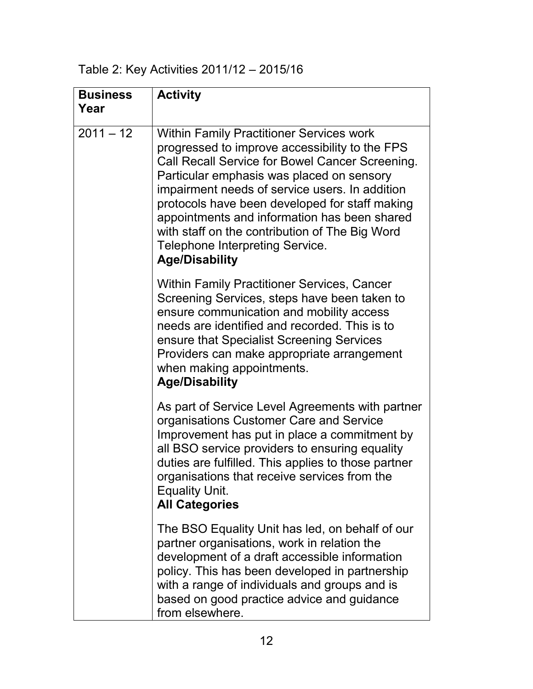Table 2: Key Activities 2011/12 – 2015/16

| <b>Business</b><br>Year | <b>Activity</b>                                                                                                                                                                                                                                                                                                                                                                                                                                                     |
|-------------------------|---------------------------------------------------------------------------------------------------------------------------------------------------------------------------------------------------------------------------------------------------------------------------------------------------------------------------------------------------------------------------------------------------------------------------------------------------------------------|
| $2011 - 12$             | <b>Within Family Practitioner Services work</b><br>progressed to improve accessibility to the FPS<br>Call Recall Service for Bowel Cancer Screening.<br>Particular emphasis was placed on sensory<br>impairment needs of service users. In addition<br>protocols have been developed for staff making<br>appointments and information has been shared<br>with staff on the contribution of The Big Word<br>Telephone Interpreting Service.<br><b>Age/Disability</b> |
|                         | Within Family Practitioner Services, Cancer<br>Screening Services, steps have been taken to<br>ensure communication and mobility access<br>needs are identified and recorded. This is to<br>ensure that Specialist Screening Services<br>Providers can make appropriate arrangement<br>when making appointments.<br><b>Age/Disability</b>                                                                                                                           |
|                         | As part of Service Level Agreements with partner<br>organisations Customer Care and Service<br>Improvement has put in place a commitment by<br>all BSO service providers to ensuring equality<br>duties are fulfilled. This applies to those partner<br>organisations that receive services from the<br><b>Equality Unit.</b><br><b>All Categories</b>                                                                                                              |
|                         | The BSO Equality Unit has led, on behalf of our<br>partner organisations, work in relation the<br>development of a draft accessible information<br>policy. This has been developed in partnership<br>with a range of individuals and groups and is<br>based on good practice advice and guidance<br>from elsewhere.                                                                                                                                                 |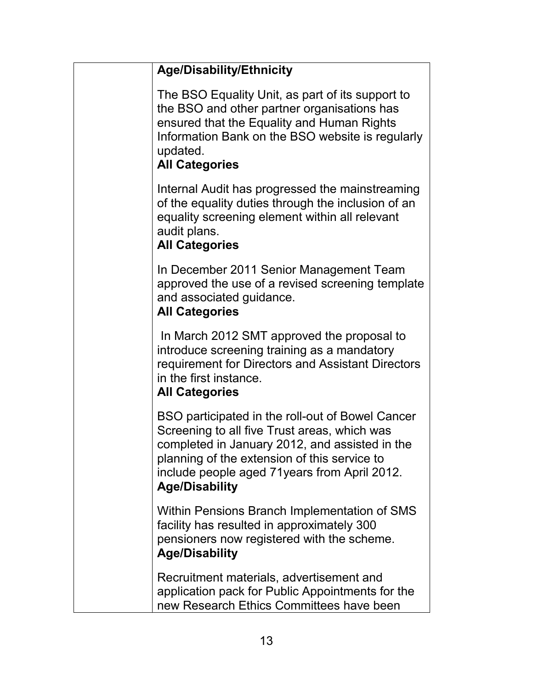| <b>Age/Disability/Ethnicity</b>                                                                                                                                                                                                                                             |
|-----------------------------------------------------------------------------------------------------------------------------------------------------------------------------------------------------------------------------------------------------------------------------|
| The BSO Equality Unit, as part of its support to<br>the BSO and other partner organisations has<br>ensured that the Equality and Human Rights<br>Information Bank on the BSO website is regularly<br>updated.<br><b>All Categories</b>                                      |
| Internal Audit has progressed the mainstreaming<br>of the equality duties through the inclusion of an<br>equality screening element within all relevant<br>audit plans.<br><b>All Categories</b>                                                                            |
| In December 2011 Senior Management Team<br>approved the use of a revised screening template<br>and associated guidance.<br><b>All Categories</b>                                                                                                                            |
| In March 2012 SMT approved the proposal to<br>introduce screening training as a mandatory<br>requirement for Directors and Assistant Directors<br>in the first instance.<br><b>All Categories</b>                                                                           |
| BSO participated in the roll-out of Bowel Cancer<br>Screening to all five Trust areas, which was<br>completed in January 2012, and assisted in the<br>planning of the extension of this service to<br>include people aged 71years from April 2012.<br><b>Age/Disability</b> |
| Within Pensions Branch Implementation of SMS<br>facility has resulted in approximately 300<br>pensioners now registered with the scheme.<br><b>Age/Disability</b>                                                                                                           |
| Recruitment materials, advertisement and<br>application pack for Public Appointments for the<br>new Research Ethics Committees have been                                                                                                                                    |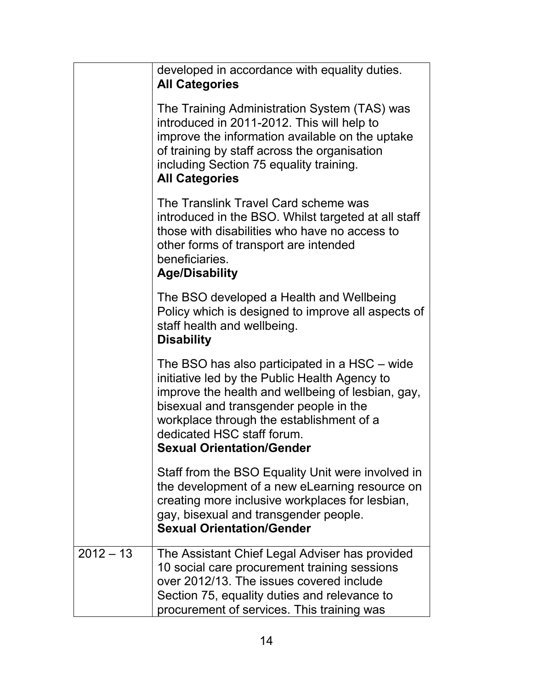|             | developed in accordance with equality duties.<br><b>All Categories</b>                                                                                                                                                                                                                                      |
|-------------|-------------------------------------------------------------------------------------------------------------------------------------------------------------------------------------------------------------------------------------------------------------------------------------------------------------|
|             | The Training Administration System (TAS) was<br>introduced in 2011-2012. This will help to<br>improve the information available on the uptake<br>of training by staff across the organisation<br>including Section 75 equality training.<br><b>All Categories</b>                                           |
|             | The Translink Travel Card scheme was<br>introduced in the BSO. Whilst targeted at all staff<br>those with disabilities who have no access to<br>other forms of transport are intended<br>beneficiaries.<br><b>Age/Disability</b>                                                                            |
|             | The BSO developed a Health and Wellbeing<br>Policy which is designed to improve all aspects of<br>staff health and wellbeing.<br><b>Disability</b>                                                                                                                                                          |
|             | The BSO has also participated in a HSC – wide<br>initiative led by the Public Health Agency to<br>improve the health and wellbeing of lesbian, gay,<br>bisexual and transgender people in the<br>workplace through the establishment of a<br>dedicated HSC staff forum.<br><b>Sexual Orientation/Gender</b> |
|             | Staff from the BSO Equality Unit were involved in<br>the development of a new eLearning resource on<br>creating more inclusive workplaces for lesbian,<br>gay, bisexual and transgender people.<br><b>Sexual Orientation/Gender</b>                                                                         |
| $2012 - 13$ | The Assistant Chief Legal Adviser has provided<br>10 social care procurement training sessions<br>over 2012/13. The issues covered include<br>Section 75, equality duties and relevance to<br>procurement of services. This training was                                                                    |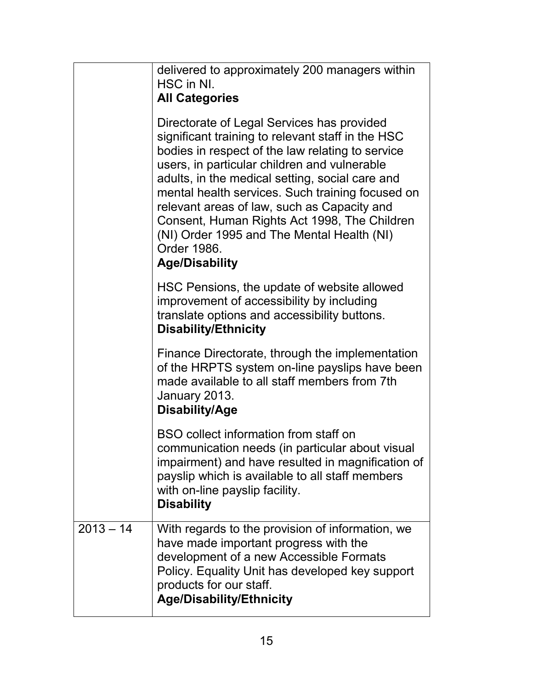|             | delivered to approximately 200 managers within<br>HSC in NI.<br><b>All Categories</b>                                                                                                                                                                                                                                                                                                                                                                                                           |
|-------------|-------------------------------------------------------------------------------------------------------------------------------------------------------------------------------------------------------------------------------------------------------------------------------------------------------------------------------------------------------------------------------------------------------------------------------------------------------------------------------------------------|
|             | Directorate of Legal Services has provided<br>significant training to relevant staff in the HSC<br>bodies in respect of the law relating to service<br>users, in particular children and vulnerable<br>adults, in the medical setting, social care and<br>mental health services. Such training focused on<br>relevant areas of law, such as Capacity and<br>Consent, Human Rights Act 1998, The Children<br>(NI) Order 1995 and The Mental Health (NI)<br>Order 1986.<br><b>Age/Disability</b> |
|             | HSC Pensions, the update of website allowed<br>improvement of accessibility by including<br>translate options and accessibility buttons.<br><b>Disability/Ethnicity</b>                                                                                                                                                                                                                                                                                                                         |
|             | Finance Directorate, through the implementation<br>of the HRPTS system on-line payslips have been<br>made available to all staff members from 7th<br>January 2013.<br><b>Disability/Age</b>                                                                                                                                                                                                                                                                                                     |
|             | BSO collect information from staff on<br>communication needs (in particular about visual<br>impairment) and have resulted in magnification of<br>payslip which is available to all staff members<br>with on-line payslip facility.<br><b>Disability</b>                                                                                                                                                                                                                                         |
| $2013 - 14$ | With regards to the provision of information, we<br>have made important progress with the<br>development of a new Accessible Formats<br>Policy. Equality Unit has developed key support<br>products for our staff.<br><b>Age/Disability/Ethnicity</b>                                                                                                                                                                                                                                           |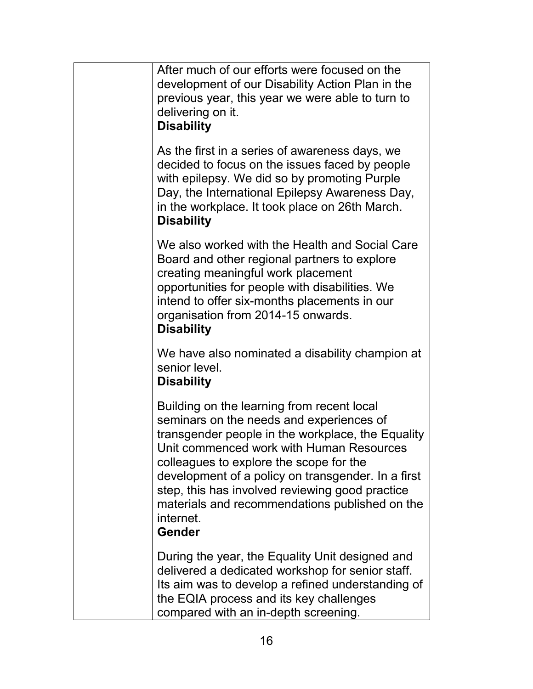| After much of our efforts were focused on the<br>development of our Disability Action Plan in the<br>previous year, this year we were able to turn to<br>delivering on it.<br><b>Disability</b>                                                                                                                                                                                                                             |
|-----------------------------------------------------------------------------------------------------------------------------------------------------------------------------------------------------------------------------------------------------------------------------------------------------------------------------------------------------------------------------------------------------------------------------|
| As the first in a series of awareness days, we<br>decided to focus on the issues faced by people<br>with epilepsy. We did so by promoting Purple<br>Day, the International Epilepsy Awareness Day,<br>in the workplace. It took place on 26th March.<br><b>Disability</b>                                                                                                                                                   |
| We also worked with the Health and Social Care<br>Board and other regional partners to explore<br>creating meaningful work placement<br>opportunities for people with disabilities. We<br>intend to offer six-months placements in our<br>organisation from 2014-15 onwards.<br><b>Disability</b>                                                                                                                           |
| We have also nominated a disability champion at<br>senior level.<br><b>Disability</b>                                                                                                                                                                                                                                                                                                                                       |
| Building on the learning from recent local<br>seminars on the needs and experiences of<br>transgender people in the workplace, the Equality<br>Unit commenced work with Human Resources<br>colleagues to explore the scope for the<br>development of a policy on transgender. In a first<br>step, this has involved reviewing good practice<br>materials and recommendations published on the<br>internet.<br><b>Gender</b> |
| During the year, the Equality Unit designed and<br>delivered a dedicated workshop for senior staff.<br>Its aim was to develop a refined understanding of<br>the EQIA process and its key challenges<br>compared with an in-depth screening.                                                                                                                                                                                 |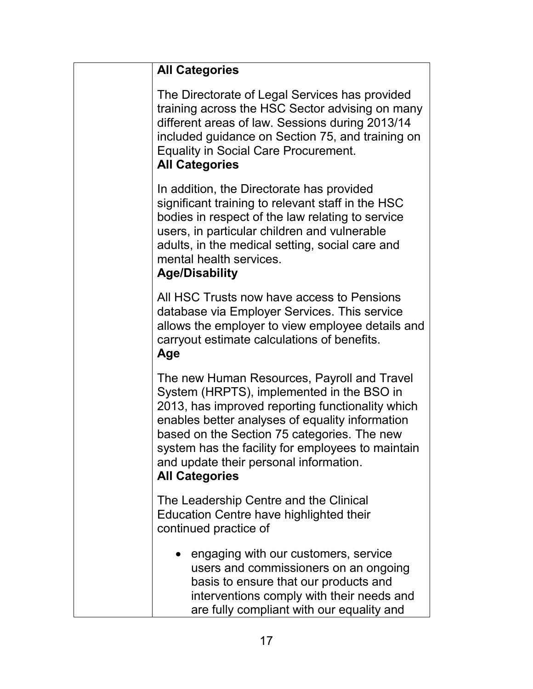| <b>All Categories</b>                                                                                                                                                                                                                                                                                                                                                  |
|------------------------------------------------------------------------------------------------------------------------------------------------------------------------------------------------------------------------------------------------------------------------------------------------------------------------------------------------------------------------|
| The Directorate of Legal Services has provided<br>training across the HSC Sector advising on many<br>different areas of law. Sessions during 2013/14<br>included guidance on Section 75, and training on<br><b>Equality in Social Care Procurement.</b><br><b>All Categories</b>                                                                                       |
| In addition, the Directorate has provided<br>significant training to relevant staff in the HSC<br>bodies in respect of the law relating to service<br>users, in particular children and vulnerable<br>adults, in the medical setting, social care and<br>mental health services.<br><b>Age/Disability</b>                                                              |
| All HSC Trusts now have access to Pensions<br>database via Employer Services. This service<br>allows the employer to view employee details and<br>carryout estimate calculations of benefits.<br>Age                                                                                                                                                                   |
| The new Human Resources, Payroll and Travel<br>System (HRPTS), implemented in the BSO in<br>2013, has improved reporting functionality which<br>enables better analyses of equality information<br>based on the Section 75 categories. The new<br>system has the facility for employees to maintain<br>and update their personal information.<br><b>All Categories</b> |
| The Leadership Centre and the Clinical<br>Education Centre have highlighted their<br>continued practice of                                                                                                                                                                                                                                                             |
| • engaging with our customers, service<br>users and commissioners on an ongoing<br>basis to ensure that our products and<br>interventions comply with their needs and<br>are fully compliant with our equality and                                                                                                                                                     |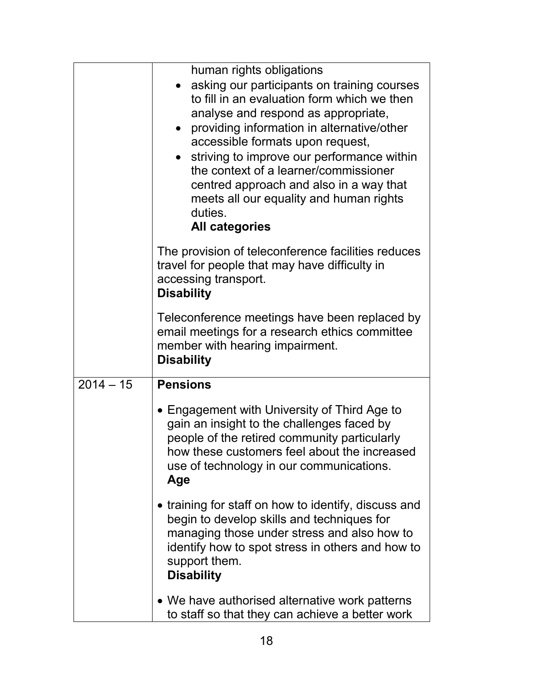|             | human rights obligations<br>asking our participants on training courses<br>to fill in an evaluation form which we then<br>analyse and respond as appropriate,<br>providing information in alternative/other<br>accessible formats upon request,<br>striving to improve our performance within<br>the context of a learner/commissioner<br>centred approach and also in a way that<br>meets all our equality and human rights<br>duties.<br><b>All categories</b> |
|-------------|------------------------------------------------------------------------------------------------------------------------------------------------------------------------------------------------------------------------------------------------------------------------------------------------------------------------------------------------------------------------------------------------------------------------------------------------------------------|
|             | The provision of teleconference facilities reduces<br>travel for people that may have difficulty in<br>accessing transport.<br><b>Disability</b>                                                                                                                                                                                                                                                                                                                 |
|             | Teleconference meetings have been replaced by<br>email meetings for a research ethics committee<br>member with hearing impairment.<br><b>Disability</b>                                                                                                                                                                                                                                                                                                          |
| $2014 - 15$ | <b>Pensions</b><br>• Engagement with University of Third Age to<br>gain an insight to the challenges faced by<br>people of the retired community particularly<br>how these customers feel about the increased<br>use of technology in our communications.<br>Age                                                                                                                                                                                                 |
|             | • training for staff on how to identify, discuss and<br>begin to develop skills and techniques for<br>managing those under stress and also how to<br>identify how to spot stress in others and how to<br>support them.<br><b>Disability</b>                                                                                                                                                                                                                      |
|             | • We have authorised alternative work patterns<br>to staff so that they can achieve a better work                                                                                                                                                                                                                                                                                                                                                                |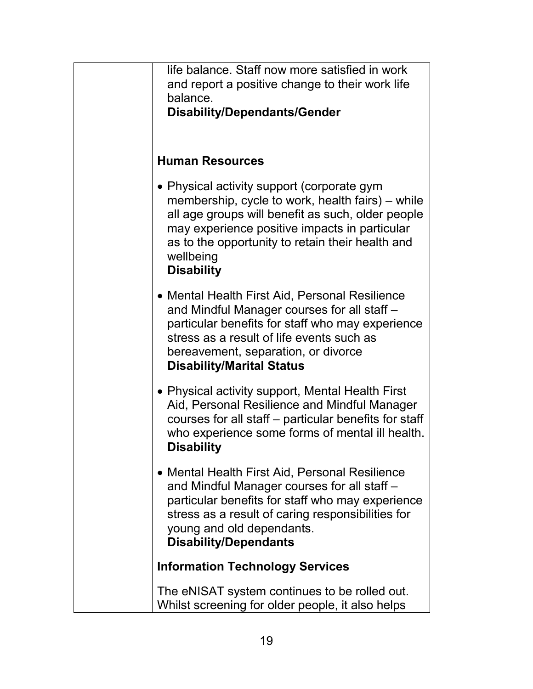| life balance. Staff now more satisfied in work<br>and report a positive change to their work life<br>balance.<br><b>Disability/Dependants/Gender</b>                                                                                                                                       |
|--------------------------------------------------------------------------------------------------------------------------------------------------------------------------------------------------------------------------------------------------------------------------------------------|
| <b>Human Resources</b>                                                                                                                                                                                                                                                                     |
| • Physical activity support (corporate gym<br>membership, cycle to work, health fairs) – while<br>all age groups will benefit as such, older people<br>may experience positive impacts in particular<br>as to the opportunity to retain their health and<br>wellbeing<br><b>Disability</b> |
| • Mental Health First Aid, Personal Resilience<br>and Mindful Manager courses for all staff -<br>particular benefits for staff who may experience<br>stress as a result of life events such as<br>bereavement, separation, or divorce<br><b>Disability/Marital Status</b>                  |
| • Physical activity support, Mental Health First<br>Aid, Personal Resilience and Mindful Manager<br>courses for all staff – particular benefits for staff<br>who experience some forms of mental ill health.<br><b>Disability</b>                                                          |
| • Mental Health First Aid, Personal Resilience<br>and Mindful Manager courses for all staff -<br>particular benefits for staff who may experience<br>stress as a result of caring responsibilities for<br>young and old dependants.<br><b>Disability/Dependants</b>                        |
| <b>Information Technology Services</b>                                                                                                                                                                                                                                                     |
| The eNISAT system continues to be rolled out.<br>Whilst screening for older people, it also helps                                                                                                                                                                                          |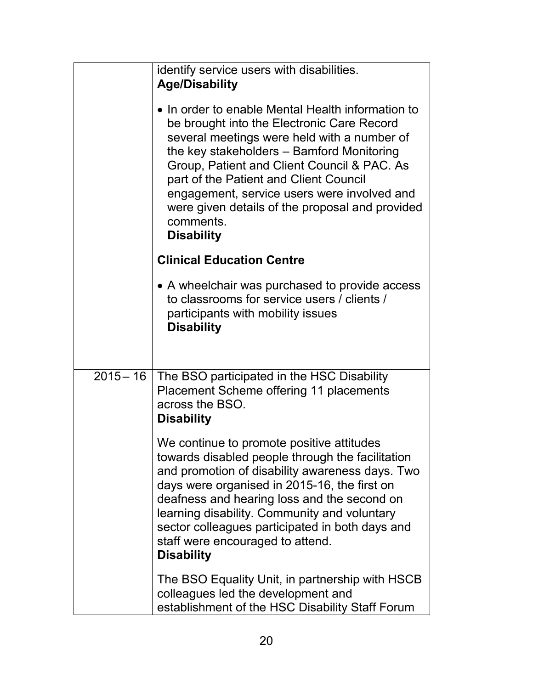|             | identify service users with disabilities.<br><b>Age/Disability</b><br>• In order to enable Mental Health information to<br>be brought into the Electronic Care Record<br>several meetings were held with a number of<br>the key stakeholders - Bamford Monitoring<br>Group, Patient and Client Council & PAC. As<br>part of the Patient and Client Council<br>engagement, service users were involved and<br>were given details of the proposal and provided<br>comments.<br><b>Disability</b><br><b>Clinical Education Centre</b> |
|-------------|------------------------------------------------------------------------------------------------------------------------------------------------------------------------------------------------------------------------------------------------------------------------------------------------------------------------------------------------------------------------------------------------------------------------------------------------------------------------------------------------------------------------------------|
|             | • A wheelchair was purchased to provide access<br>to classrooms for service users / clients /<br>participants with mobility issues<br><b>Disability</b>                                                                                                                                                                                                                                                                                                                                                                            |
| $2015 - 16$ | The BSO participated in the HSC Disability<br>Placement Scheme offering 11 placements<br>across the BSO.<br><b>Disability</b>                                                                                                                                                                                                                                                                                                                                                                                                      |
|             | We continue to promote positive attitudes<br>towards disabled people through the facilitation<br>and promotion of disability awareness days. Two<br>days were organised in 2015-16, the first on<br>deafness and hearing loss and the second on<br>learning disability. Community and voluntary<br>sector colleagues participated in both days and<br>staff were encouraged to attend.<br><b>Disability</b>                                                                                                                        |
|             | The BSO Equality Unit, in partnership with HSCB<br>colleagues led the development and<br>establishment of the HSC Disability Staff Forum                                                                                                                                                                                                                                                                                                                                                                                           |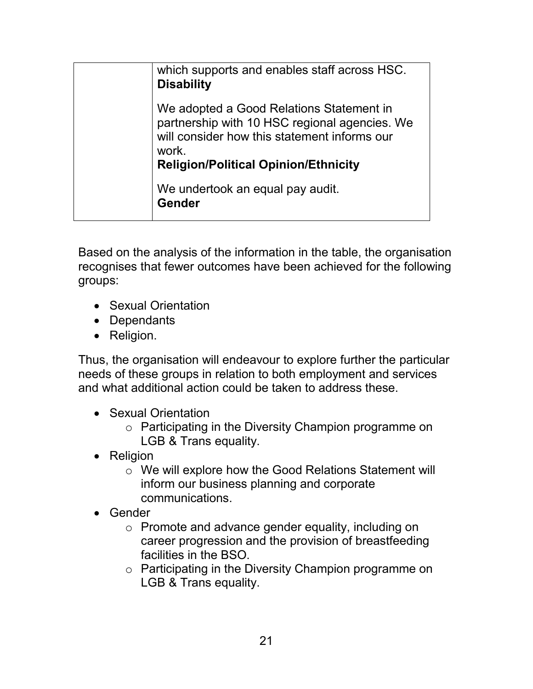| which supports and enables staff across HSC.<br><b>Disability</b>                                                                                                                                 |
|---------------------------------------------------------------------------------------------------------------------------------------------------------------------------------------------------|
| We adopted a Good Relations Statement in<br>partnership with 10 HSC regional agencies. We<br>will consider how this statement informs our<br>work.<br><b>Religion/Political Opinion/Ethnicity</b> |
| We undertook an equal pay audit.<br><b>Gender</b>                                                                                                                                                 |

Based on the analysis of the information in the table, the organisation recognises that fewer outcomes have been achieved for the following groups:

- Sexual Orientation
- Dependants
- Religion.

Thus, the organisation will endeavour to explore further the particular needs of these groups in relation to both employment and services and what additional action could be taken to address these.

- Sexual Orientation
	- o Participating in the Diversity Champion programme on LGB & Trans equality.
- Religion
	- o We will explore how the Good Relations Statement will inform our business planning and corporate communications.
- Gender
	- o Promote and advance gender equality, including on career progression and the provision of breastfeeding facilities in the BSO.
	- o Participating in the Diversity Champion programme on LGB & Trans equality.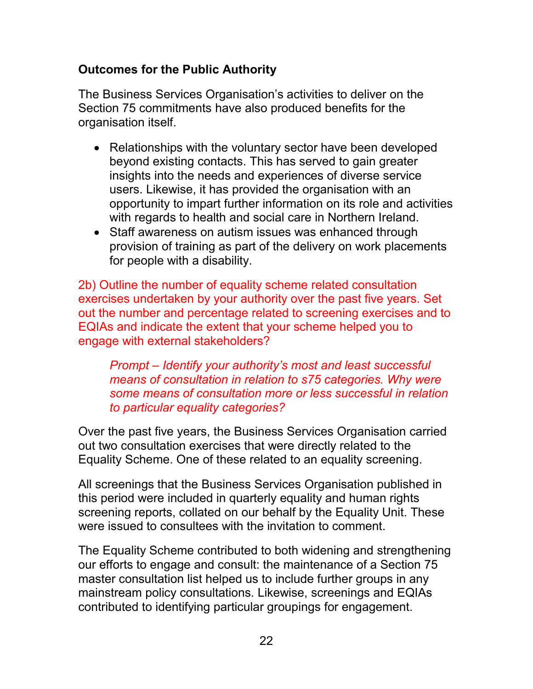## **Outcomes for the Public Authority**

The Business Services Organisation's activities to deliver on the Section 75 commitments have also produced benefits for the organisation itself.

- Relationships with the voluntary sector have been developed beyond existing contacts. This has served to gain greater insights into the needs and experiences of diverse service users. Likewise, it has provided the organisation with an opportunity to impart further information on its role and activities with regards to health and social care in Northern Ireland.
- Staff awareness on autism issues was enhanced through provision of training as part of the delivery on work placements for people with a disability.

2b) Outline the number of equality scheme related consultation exercises undertaken by your authority over the past five years. Set out the number and percentage related to screening exercises and to EQIAs and indicate the extent that your scheme helped you to engage with external stakeholders?

*Prompt – Identify your authority's most and least successful means of consultation in relation to s75 categories. Why were some means of consultation more or less successful in relation to particular equality categories?* 

Over the past five years, the Business Services Organisation carried out two consultation exercises that were directly related to the Equality Scheme. One of these related to an equality screening.

All screenings that the Business Services Organisation published in this period were included in quarterly equality and human rights screening reports, collated on our behalf by the Equality Unit. These were issued to consultees with the invitation to comment.

The Equality Scheme contributed to both widening and strengthening our efforts to engage and consult: the maintenance of a Section 75 master consultation list helped us to include further groups in any mainstream policy consultations. Likewise, screenings and EQIAs contributed to identifying particular groupings for engagement.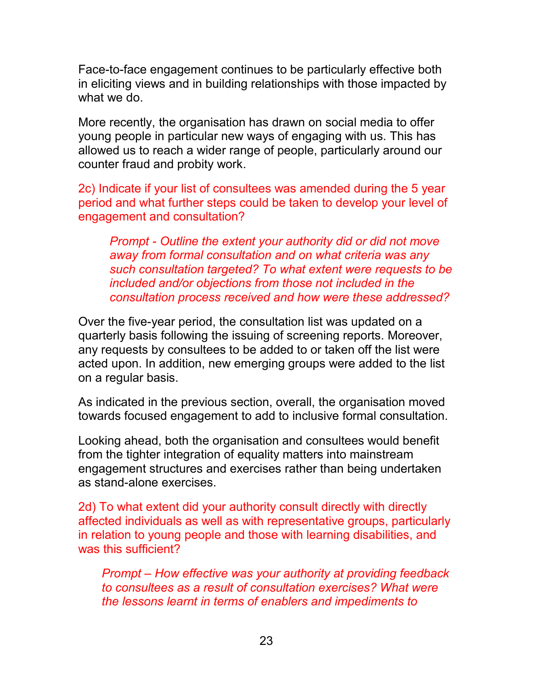Face-to-face engagement continues to be particularly effective both in eliciting views and in building relationships with those impacted by what we do.

More recently, the organisation has drawn on social media to offer young people in particular new ways of engaging with us. This has allowed us to reach a wider range of people, particularly around our counter fraud and probity work.

2c) Indicate if your list of consultees was amended during the 5 year period and what further steps could be taken to develop your level of engagement and consultation?

*Prompt - Outline the extent your authority did or did not move away from formal consultation and on what criteria was any such consultation targeted? To what extent were requests to be included and/or objections from those not included in the consultation process received and how were these addressed?*

Over the five-year period, the consultation list was updated on a quarterly basis following the issuing of screening reports. Moreover, any requests by consultees to be added to or taken off the list were acted upon. In addition, new emerging groups were added to the list on a regular basis.

As indicated in the previous section, overall, the organisation moved towards focused engagement to add to inclusive formal consultation.

Looking ahead, both the organisation and consultees would benefit from the tighter integration of equality matters into mainstream engagement structures and exercises rather than being undertaken as stand-alone exercises.

2d) To what extent did your authority consult directly with directly affected individuals as well as with representative groups, particularly in relation to young people and those with learning disabilities, and was this sufficient?

*Prompt – How effective was your authority at providing feedback to consultees as a result of consultation exercises? What were the lessons learnt in terms of enablers and impediments to*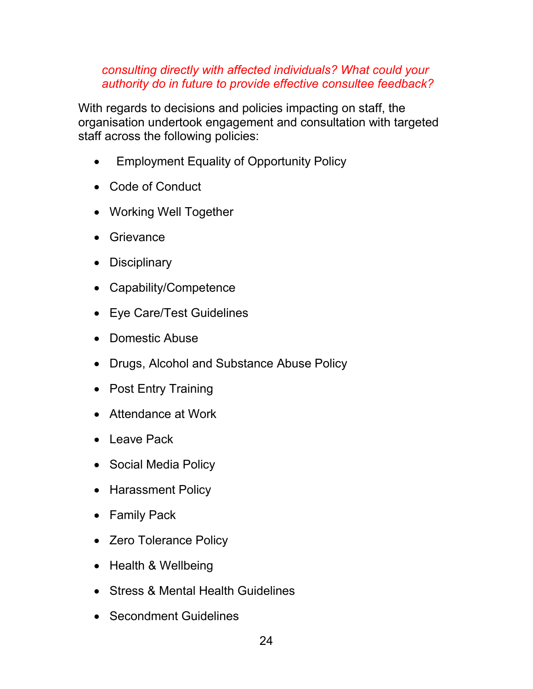*consulting directly with affected individuals? What could your authority do in future to provide effective consultee feedback?*

With regards to decisions and policies impacting on staff, the organisation undertook engagement and consultation with targeted staff across the following policies:

- Employment Equality of Opportunity Policy
- Code of Conduct
- Working Well Together
- Grievance
- Disciplinary
- Capability/Competence
- Eye Care/Test Guidelines
- Domestic Abuse
- Drugs, Alcohol and Substance Abuse Policy
- Post Entry Training
- Attendance at Work
- Leave Pack
- Social Media Policy
- Harassment Policy
- Family Pack
- Zero Tolerance Policy
- Health & Wellbeing
- Stress & Mental Health Guidelines
- Secondment Guidelines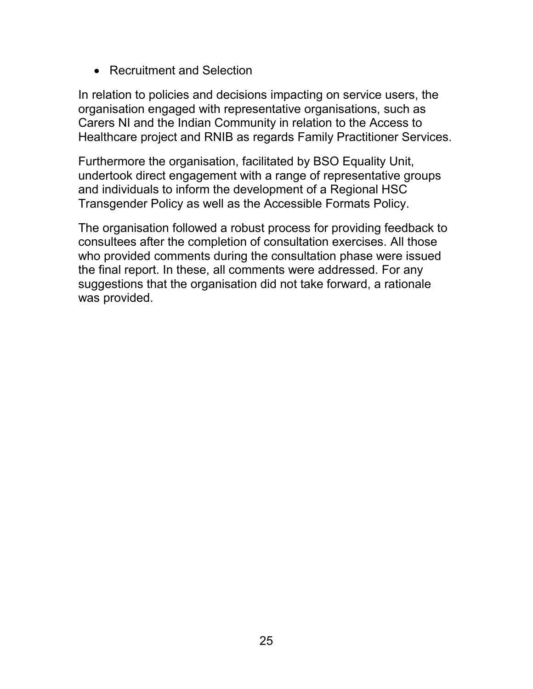• Recruitment and Selection

In relation to policies and decisions impacting on service users, the organisation engaged with representative organisations, such as Carers NI and the Indian Community in relation to the Access to Healthcare project and RNIB as regards Family Practitioner Services.

Furthermore the organisation, facilitated by BSO Equality Unit, undertook direct engagement with a range of representative groups and individuals to inform the development of a Regional HSC Transgender Policy as well as the Accessible Formats Policy.

The organisation followed a robust process for providing feedback to consultees after the completion of consultation exercises. All those who provided comments during the consultation phase were issued the final report. In these, all comments were addressed. For any suggestions that the organisation did not take forward, a rationale was provided.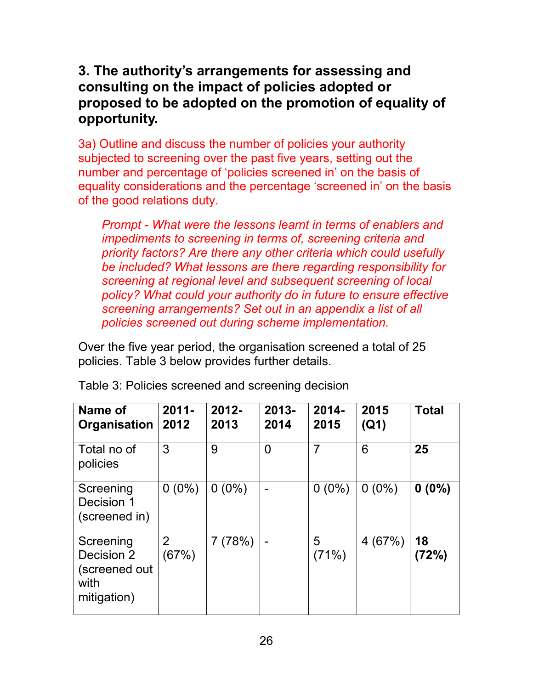## <span id="page-25-0"></span>**3. The authority's arrangements for assessing and consulting on the impact of policies adopted or proposed to be adopted on the promotion of equality of opportunity.**

3a) Outline and discuss the number of policies your authority subjected to screening over the past five years, setting out the number and percentage of 'policies screened in' on the basis of equality considerations and the percentage 'screened in' on the basis of the good relations duty.

*Prompt - What were the lessons learnt in terms of enablers and impediments to screening in terms of, screening criteria and priority factors? Are there any other criteria which could usefully be included? What lessons are there regarding responsibility for screening at regional level and subsequent screening of local policy? What could your authority do in future to ensure effective screening arrangements? Set out in an appendix a list of all policies screened out during scheme implementation.*

Over the five year period, the organisation screened a total of 25 policies. Table 3 below provides further details.

| Name of<br>Organisation                                         | $2011 -$<br>2012        | 2012-<br>2013 | 2013-<br>2014  | 2014-<br>2015  | 2015<br>(Q1) | <b>Total</b> |
|-----------------------------------------------------------------|-------------------------|---------------|----------------|----------------|--------------|--------------|
| Total no of<br>policies                                         | 3                       | 9             | $\overline{0}$ | $\overline{7}$ | 6            | 25           |
| Screening<br>Decision 1<br>(screened in)                        | $0(0\%)$                | $0(0\%)$      |                | $0(0\%)$       | $0(0\%)$     | $0(0\%)$     |
| Screening<br>Decision 2<br>(screened out<br>with<br>mitigation) | $\overline{2}$<br>(67%) | 7(78%)        |                | 5<br>(71%)     | 4(67%)       | 18<br>(72%)  |

Table 3: Policies screened and screening decision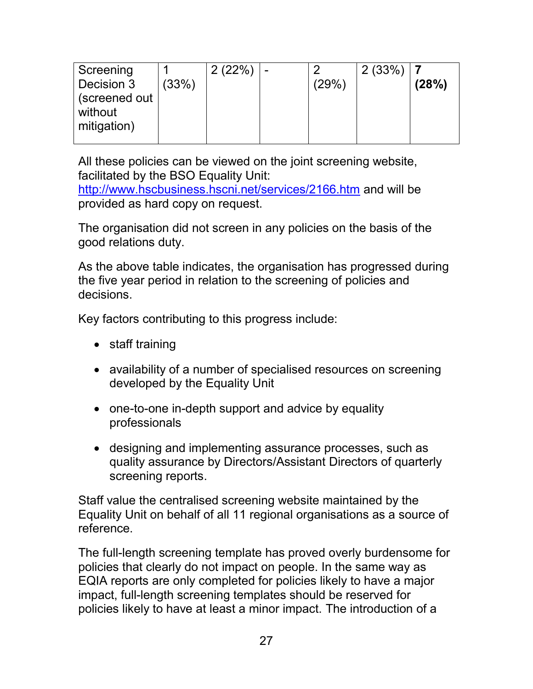| Screening<br>Decision 3<br>(screened out<br>without | (33%) | 2(22%) | - | (29%) | 2(33%) | (28%) |
|-----------------------------------------------------|-------|--------|---|-------|--------|-------|
| mitigation)                                         |       |        |   |       |        |       |

All these policies can be viewed on the joint screening website, facilitated by the BSO Equality Unit:

<http://www.hscbusiness.hscni.net/services/2166.htm> and will be provided as hard copy on request.

The organisation did not screen in any policies on the basis of the good relations duty.

As the above table indicates, the organisation has progressed during the five year period in relation to the screening of policies and decisions.

Key factors contributing to this progress include:

- staff training
- availability of a number of specialised resources on screening developed by the Equality Unit
- one-to-one in-depth support and advice by equality professionals
- designing and implementing assurance processes, such as quality assurance by Directors/Assistant Directors of quarterly screening reports.

Staff value the centralised screening website maintained by the Equality Unit on behalf of all 11 regional organisations as a source of reference.

The full-length screening template has proved overly burdensome for policies that clearly do not impact on people. In the same way as EQIA reports are only completed for policies likely to have a major impact, full-length screening templates should be reserved for policies likely to have at least a minor impact. The introduction of a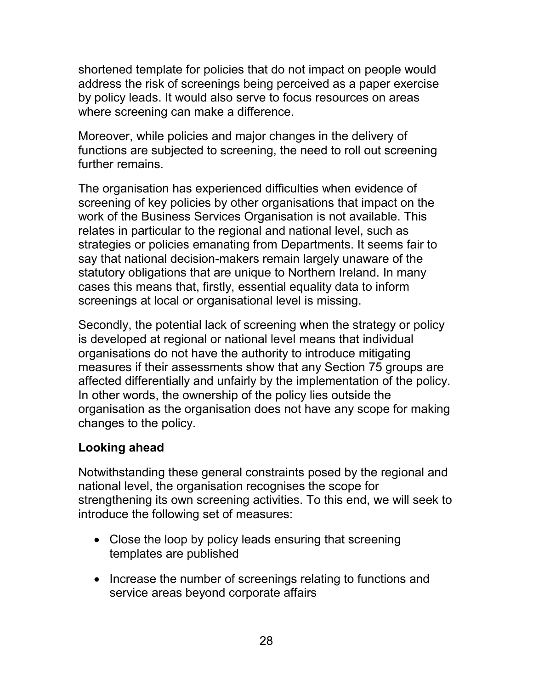shortened template for policies that do not impact on people would address the risk of screenings being perceived as a paper exercise by policy leads. It would also serve to focus resources on areas where screening can make a difference.

Moreover, while policies and major changes in the delivery of functions are subjected to screening, the need to roll out screening further remains.

The organisation has experienced difficulties when evidence of screening of key policies by other organisations that impact on the work of the Business Services Organisation is not available. This relates in particular to the regional and national level, such as strategies or policies emanating from Departments. It seems fair to say that national decision-makers remain largely unaware of the statutory obligations that are unique to Northern Ireland. In many cases this means that, firstly, essential equality data to inform screenings at local or organisational level is missing.

Secondly, the potential lack of screening when the strategy or policy is developed at regional or national level means that individual organisations do not have the authority to introduce mitigating measures if their assessments show that any Section 75 groups are affected differentially and unfairly by the implementation of the policy. In other words, the ownership of the policy lies outside the organisation as the organisation does not have any scope for making changes to the policy.

## **Looking ahead**

Notwithstanding these general constraints posed by the regional and national level, the organisation recognises the scope for strengthening its own screening activities. To this end, we will seek to introduce the following set of measures:

- Close the loop by policy leads ensuring that screening templates are published
- Increase the number of screenings relating to functions and service areas beyond corporate affairs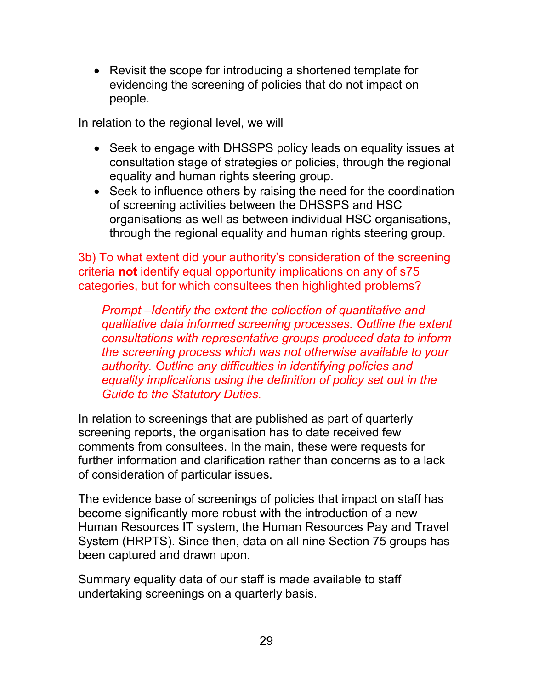• Revisit the scope for introducing a shortened template for evidencing the screening of policies that do not impact on people.

In relation to the regional level, we will

- Seek to engage with DHSSPS policy leads on equality issues at consultation stage of strategies or policies, through the regional equality and human rights steering group.
- Seek to influence others by raising the need for the coordination of screening activities between the DHSSPS and HSC organisations as well as between individual HSC organisations, through the regional equality and human rights steering group.

3b) To what extent did your authority's consideration of the screening criteria **not** identify equal opportunity implications on any of s75 categories, but for which consultees then highlighted problems?

*Prompt –Identify the extent the collection of quantitative and qualitative data informed screening processes. Outline the extent consultations with representative groups produced data to inform the screening process which was not otherwise available to your authority. Outline any difficulties in identifying policies and equality implications using the definition of policy set out in the Guide to the Statutory Duties.*

In relation to screenings that are published as part of quarterly screening reports, the organisation has to date received few comments from consultees. In the main, these were requests for further information and clarification rather than concerns as to a lack of consideration of particular issues.

The evidence base of screenings of policies that impact on staff has become significantly more robust with the introduction of a new Human Resources IT system, the Human Resources Pay and Travel System (HRPTS). Since then, data on all nine Section 75 groups has been captured and drawn upon.

Summary equality data of our staff is made available to staff undertaking screenings on a quarterly basis.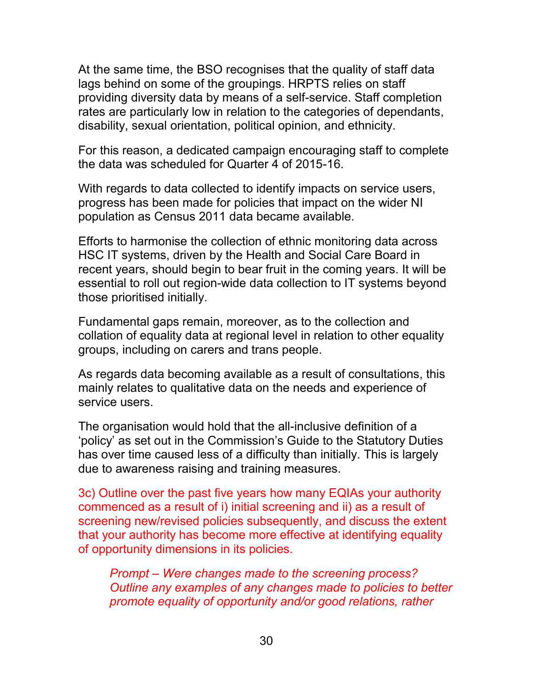At the same time, the BSO recognises that the quality of staff data lags behind on some of the groupings. HRPTS relies on staff providing diversity data by means of a self-service. Staff completion rates are particularly low in relation to the categories of dependants, disability, sexual orientation, political opinion, and ethnicity.

For this reason, a dedicated campaign encouraging staff to complete the data was scheduled for Quarter 4 of 2015-16.

With regards to data collected to identify impacts on service users, progress has been made for policies that impact on the wider NI population as Census 2011 data became available.

Efforts to harmonise the collection of ethnic monitoring data across HSC IT systems, driven by the Health and Social Care Board in recent years, should begin to bear fruit in the coming years. It will be essential to roll out region-wide data collection to IT systems beyond those prioritised initially.

Fundamental gaps remain, moreover, as to the collection and collation of equality data at regional level in relation to other equality groups, including on carers and trans people.

As regards data becoming available as a result of consultations, this mainly relates to qualitative data on the needs and experience of service users.

The organisation would hold that the all-inclusive definition of a 'policy' as set out in the Commission's Guide to the Statutory Duties has over time caused less of a difficulty than initially. This is largely due to awareness raising and training measures.

3c) Outline over the past five years how many EQIAs your authority commenced as a result of i) initial screening and ii) as a result of screening new/revised policies subsequently, and discuss the extent that your authority has become more effective at identifying equality of opportunity dimensions in its policies.

*Prompt – Were changes made to the screening process? Outline any examples of any changes made to policies to better promote equality of opportunity and/or good relations, rather*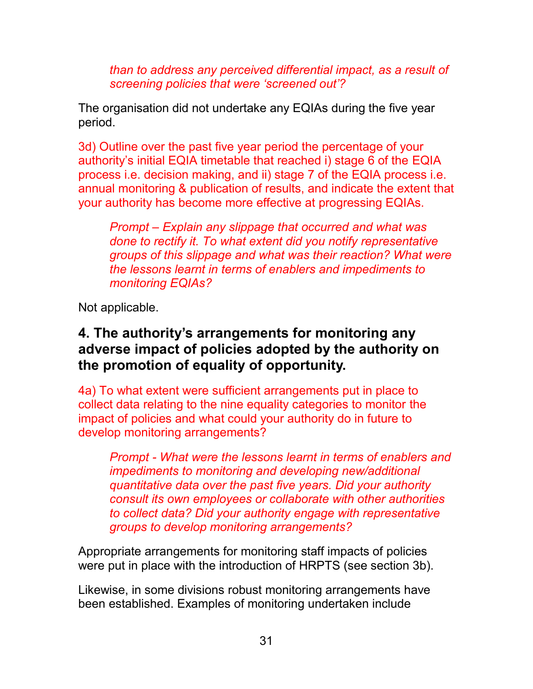*than to address any perceived differential impact, as a result of screening policies that were 'screened out'?*

The organisation did not undertake any EQIAs during the five year period.

3d) Outline over the past five year period the percentage of your authority's initial EQIA timetable that reached i) stage 6 of the EQIA process i.e. decision making, and ii) stage 7 of the EQIA process i.e. annual monitoring & publication of results, and indicate the extent that your authority has become more effective at progressing EQIAs.

*Prompt – Explain any slippage that occurred and what was done to rectify it. To what extent did you notify representative groups of this slippage and what was their reaction? What were the lessons learnt in terms of enablers and impediments to monitoring EQIAs?* 

Not applicable.

## <span id="page-30-0"></span>**4. The authority's arrangements for monitoring any adverse impact of policies adopted by the authority on the promotion of equality of opportunity.**

4a) To what extent were sufficient arrangements put in place to collect data relating to the nine equality categories to monitor the impact of policies and what could your authority do in future to develop monitoring arrangements?

*Prompt - What were the lessons learnt in terms of enablers and impediments to monitoring and developing new/additional quantitative data over the past five years. Did your authority consult its own employees or collaborate with other authorities to collect data? Did your authority engage with representative groups to develop monitoring arrangements?*

Appropriate arrangements for monitoring staff impacts of policies were put in place with the introduction of HRPTS (see section 3b).

Likewise, in some divisions robust monitoring arrangements have been established. Examples of monitoring undertaken include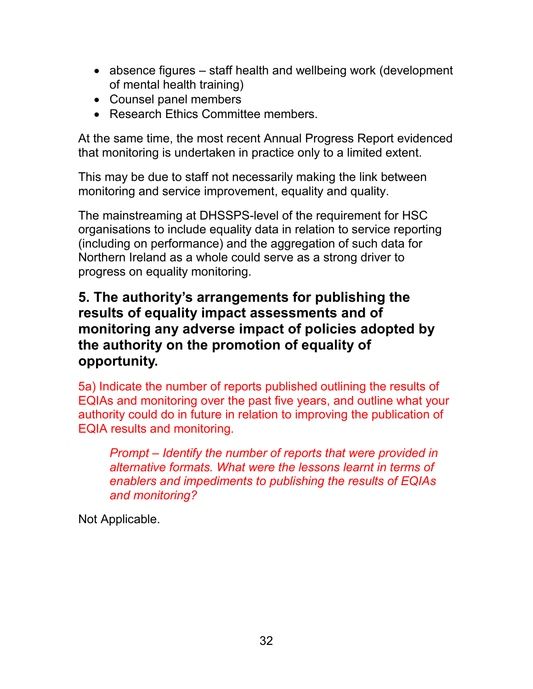- absence figures staff health and wellbeing work (development of mental health training)
- Counsel panel members
- Research Ethics Committee members.

At the same time, the most recent Annual Progress Report evidenced that monitoring is undertaken in practice only to a limited extent.

This may be due to staff not necessarily making the link between monitoring and service improvement, equality and quality.

The mainstreaming at DHSSPS-level of the requirement for HSC organisations to include equality data in relation to service reporting (including on performance) and the aggregation of such data for Northern Ireland as a whole could serve as a strong driver to progress on equality monitoring.

## <span id="page-31-0"></span>**5. The authority's arrangements for publishing the results of equality impact assessments and of monitoring any adverse impact of policies adopted by the authority on the promotion of equality of opportunity.**

5a) Indicate the number of reports published outlining the results of EQIAs and monitoring over the past five years, and outline what your authority could do in future in relation to improving the publication of EQIA results and monitoring.

*Prompt – Identify the number of reports that were provided in alternative formats. What were the lessons learnt in terms of enablers and impediments to publishing the results of EQIAs and monitoring?* 

Not Applicable.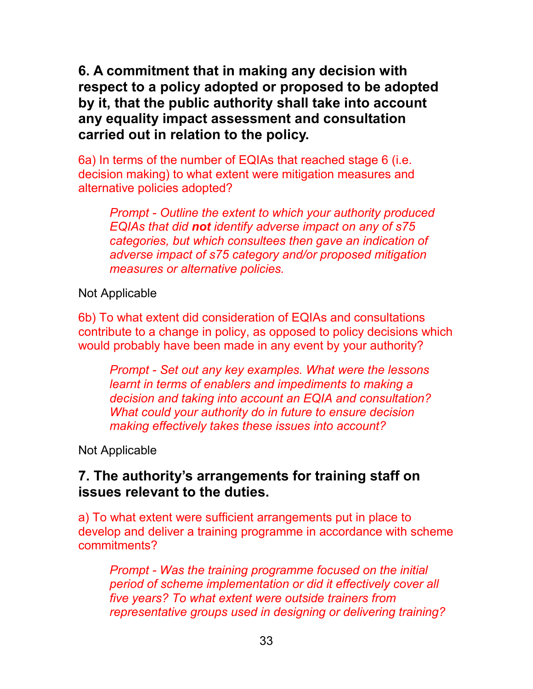<span id="page-32-0"></span>**6. A commitment that in making any decision with respect to a policy adopted or proposed to be adopted by it, that the public authority shall take into account any equality impact assessment and consultation carried out in relation to the policy.**

6a) In terms of the number of EQIAs that reached stage 6 (i.e. decision making) to what extent were mitigation measures and alternative policies adopted?

*Prompt - Outline the extent to which your authority produced EQIAs that did not identify adverse impact on any of s75 categories, but which consultees then gave an indication of adverse impact of s75 category and/or proposed mitigation measures or alternative policies.* 

Not Applicable

6b) To what extent did consideration of EQIAs and consultations contribute to a change in policy, as opposed to policy decisions which would probably have been made in any event by your authority?

*Prompt - Set out any key examples. What were the lessons learnt in terms of enablers and impediments to making a decision and taking into account an EQIA and consultation? What could your authority do in future to ensure decision making effectively takes these issues into account?* 

Not Applicable

## <span id="page-32-1"></span>**7. The authority's arrangements for training staff on issues relevant to the duties.**

a) To what extent were sufficient arrangements put in place to develop and deliver a training programme in accordance with scheme commitments?

*Prompt - Was the training programme focused on the initial period of scheme implementation or did it effectively cover all five years? To what extent were outside trainers from representative groups used in designing or delivering training?*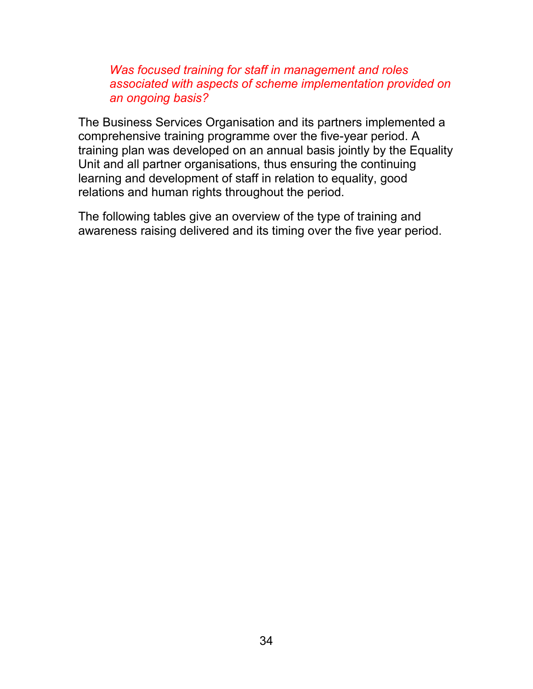*Was focused training for staff in management and roles associated with aspects of scheme implementation provided on an ongoing basis?*

The Business Services Organisation and its partners implemented a comprehensive training programme over the five-year period. A training plan was developed on an annual basis jointly by the Equality Unit and all partner organisations, thus ensuring the continuing learning and development of staff in relation to equality, good relations and human rights throughout the period.

The following tables give an overview of the type of training and awareness raising delivered and its timing over the five year period.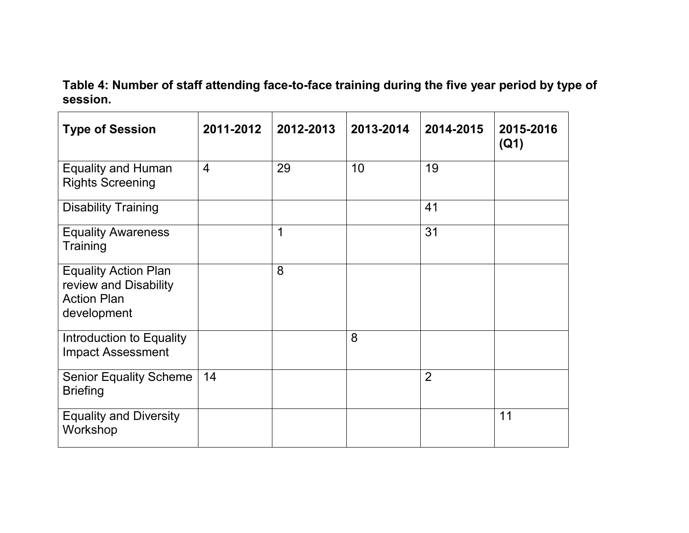**Table 4: Number of staff attending face-to-face training during the five year period by type of session.**

| <b>Type of Session</b>                                                                    | 2011-2012      | 2012-2013 | 2013-2014 | 2014-2015      | 2015-2016<br>(Q1) |
|-------------------------------------------------------------------------------------------|----------------|-----------|-----------|----------------|-------------------|
| <b>Equality and Human</b><br><b>Rights Screening</b>                                      | $\overline{4}$ | 29        | 10        | 19             |                   |
| <b>Disability Training</b>                                                                |                |           |           | 41             |                   |
| <b>Equality Awareness</b><br>Training                                                     |                | 1         |           | 31             |                   |
| <b>Equality Action Plan</b><br>review and Disability<br><b>Action Plan</b><br>development |                | 8         |           |                |                   |
| Introduction to Equality<br><b>Impact Assessment</b>                                      |                |           | 8         |                |                   |
| <b>Senior Equality Scheme</b><br><b>Briefing</b>                                          | 14             |           |           | $\overline{2}$ |                   |
| <b>Equality and Diversity</b><br>Workshop                                                 |                |           |           |                | 11                |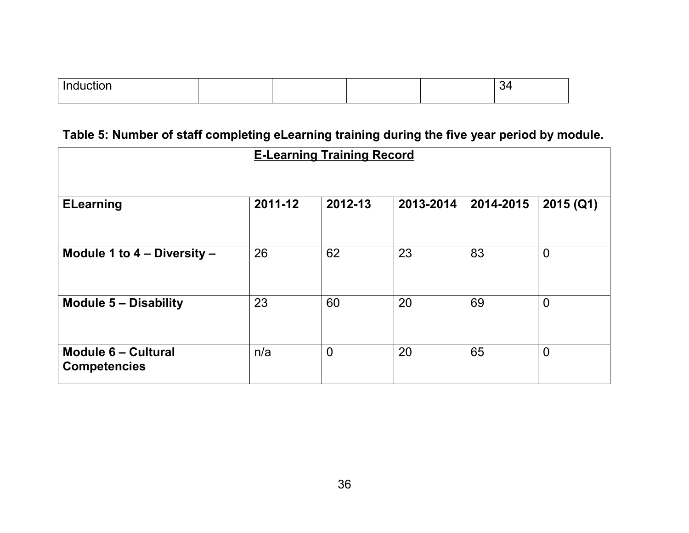| <u>Ir</u><br>11 H |  |  |  |
|-------------------|--|--|--|
|                   |  |  |  |

# **Table 5: Number of staff completing eLearning training during the five year period by module.**

| <b>E-Learning Training Record</b>                 |         |                |           |           |                |  |
|---------------------------------------------------|---------|----------------|-----------|-----------|----------------|--|
|                                                   |         |                |           |           |                |  |
| <b>ELearning</b>                                  | 2011-12 | 2012-13        | 2013-2014 | 2014-2015 | 2015(Q1)       |  |
|                                                   |         |                |           |           |                |  |
| Module 1 to 4 - Diversity -                       | 26      | 62             | 23        | 83        | $\overline{0}$ |  |
|                                                   |         |                |           |           |                |  |
| <b>Module 5 - Disability</b>                      | 23      | 60             | 20        | 69        | $\overline{0}$ |  |
|                                                   |         |                |           |           |                |  |
| <b>Module 6 - Cultural</b><br><b>Competencies</b> | n/a     | $\overline{0}$ | 20        | 65        | $\overline{0}$ |  |
|                                                   |         |                |           |           |                |  |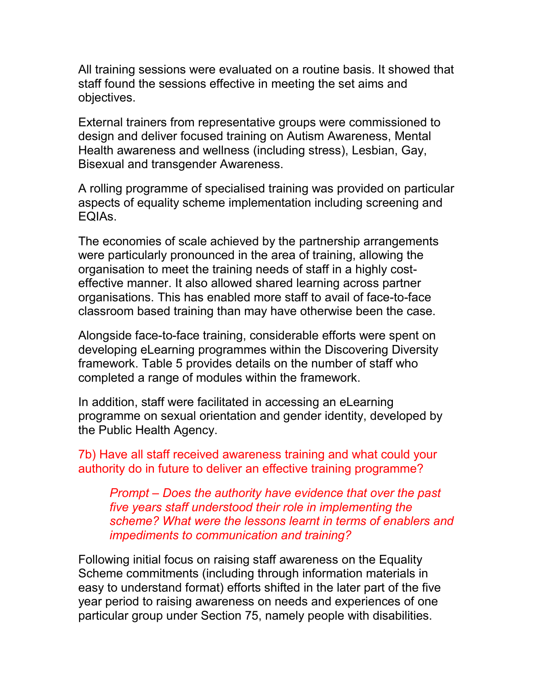All training sessions were evaluated on a routine basis. It showed that staff found the sessions effective in meeting the set aims and objectives.

External trainers from representative groups were commissioned to design and deliver focused training on Autism Awareness, Mental Health awareness and wellness (including stress), Lesbian, Gay, Bisexual and transgender Awareness.

A rolling programme of specialised training was provided on particular aspects of equality scheme implementation including screening and EQIAs.

The economies of scale achieved by the partnership arrangements were particularly pronounced in the area of training, allowing the organisation to meet the training needs of staff in a highly costeffective manner. It also allowed shared learning across partner organisations. This has enabled more staff to avail of face-to-face classroom based training than may have otherwise been the case.

Alongside face-to-face training, considerable efforts were spent on developing eLearning programmes within the Discovering Diversity framework. Table 5 provides details on the number of staff who completed a range of modules within the framework.

In addition, staff were facilitated in accessing an eLearning programme on sexual orientation and gender identity, developed by the Public Health Agency.

7b) Have all staff received awareness training and what could your authority do in future to deliver an effective training programme?

*Prompt – Does the authority have evidence that over the past five years staff understood their role in implementing the scheme? What were the lessons learnt in terms of enablers and impediments to communication and training?* 

Following initial focus on raising staff awareness on the Equality Scheme commitments (including through information materials in easy to understand format) efforts shifted in the later part of the five year period to raising awareness on needs and experiences of one particular group under Section 75, namely people with disabilities.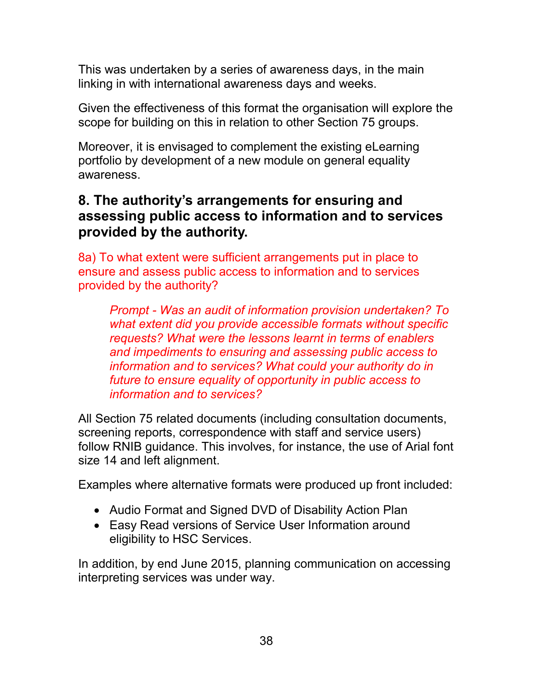This was undertaken by a series of awareness days, in the main linking in with international awareness days and weeks.

Given the effectiveness of this format the organisation will explore the scope for building on this in relation to other Section 75 groups.

Moreover, it is envisaged to complement the existing eLearning portfolio by development of a new module on general equality awareness.

## <span id="page-37-0"></span>**8. The authority's arrangements for ensuring and assessing public access to information and to services provided by the authority.**

8a) To what extent were sufficient arrangements put in place to ensure and assess public access to information and to services provided by the authority?

*Prompt - Was an audit of information provision undertaken? To what extent did you provide accessible formats without specific requests? What were the lessons learnt in terms of enablers and impediments to ensuring and assessing public access to information and to services? What could your authority do in future to ensure equality of opportunity in public access to information and to services?* 

All Section 75 related documents (including consultation documents, screening reports, correspondence with staff and service users) follow RNIB guidance. This involves, for instance, the use of Arial font size 14 and left alignment.

Examples where alternative formats were produced up front included:

- Audio Format and Signed DVD of Disability Action Plan
- Easy Read versions of Service User Information around eligibility to HSC Services.

In addition, by end June 2015, planning communication on accessing interpreting services was under way.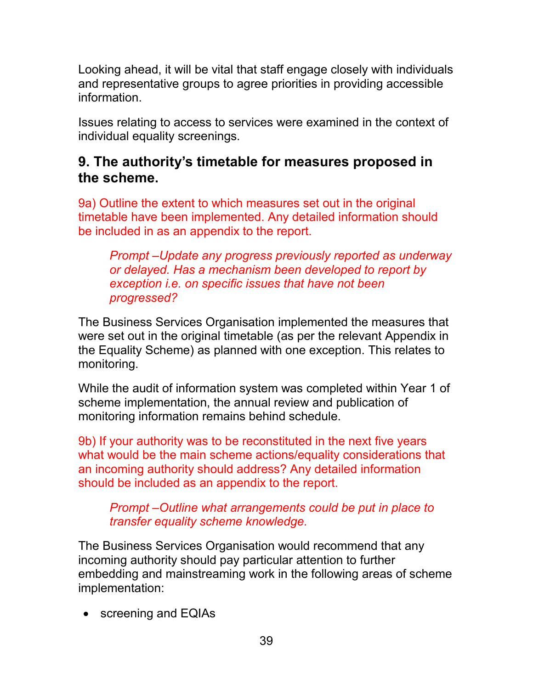Looking ahead, it will be vital that staff engage closely with individuals and representative groups to agree priorities in providing accessible information.

Issues relating to access to services were examined in the context of individual equality screenings.

## <span id="page-38-0"></span>**9. The authority's timetable for measures proposed in the scheme.**

9a) Outline the extent to which measures set out in the original timetable have been implemented. Any detailed information should be included in as an appendix to the report.

*Prompt –Update any progress previously reported as underway or delayed. Has a mechanism been developed to report by exception i.e. on specific issues that have not been progressed?* 

The Business Services Organisation implemented the measures that were set out in the original timetable (as per the relevant Appendix in the Equality Scheme) as planned with one exception. This relates to monitoring.

While the audit of information system was completed within Year 1 of scheme implementation, the annual review and publication of monitoring information remains behind schedule.

9b) If your authority was to be reconstituted in the next five years what would be the main scheme actions/equality considerations that an incoming authority should address? Any detailed information should be included as an appendix to the report.

#### *Prompt –Outline what arrangements could be put in place to transfer equality scheme knowledge.*

The Business Services Organisation would recommend that any incoming authority should pay particular attention to further embedding and mainstreaming work in the following areas of scheme implementation:

• screening and EQIAs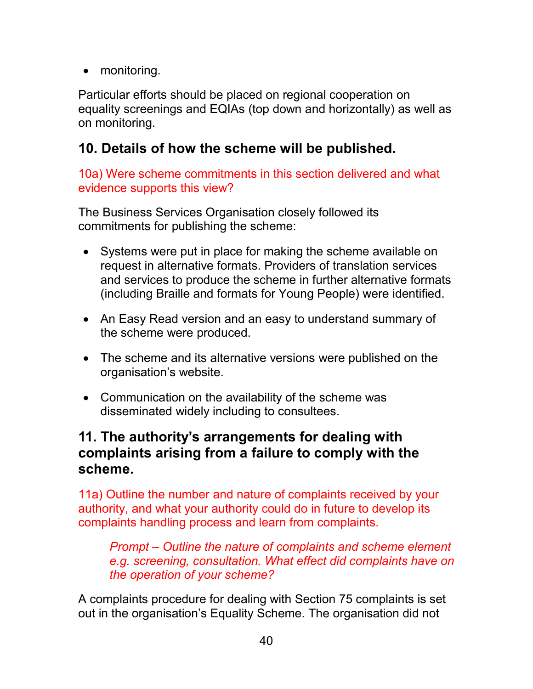• monitoring.

Particular efforts should be placed on regional cooperation on equality screenings and EQIAs (top down and horizontally) as well as on monitoring.

# <span id="page-39-0"></span>**10. Details of how the scheme will be published.**

10a) Were scheme commitments in this section delivered and what evidence supports this view?

The Business Services Organisation closely followed its commitments for publishing the scheme:

- Systems were put in place for making the scheme available on request in alternative formats. Providers of translation services and services to produce the scheme in further alternative formats (including Braille and formats for Young People) were identified.
- An Easy Read version and an easy to understand summary of the scheme were produced.
- The scheme and its alternative versions were published on the organisation's website.
- Communication on the availability of the scheme was disseminated widely including to consultees.

## <span id="page-39-1"></span>**11. The authority's arrangements for dealing with complaints arising from a failure to comply with the scheme.**

11a) Outline the number and nature of complaints received by your authority, and what your authority could do in future to develop its complaints handling process and learn from complaints.

*Prompt – Outline the nature of complaints and scheme element e.g. screening, consultation. What effect did complaints have on the operation of your scheme?*

A complaints procedure for dealing with Section 75 complaints is set out in the organisation's Equality Scheme. The organisation did not